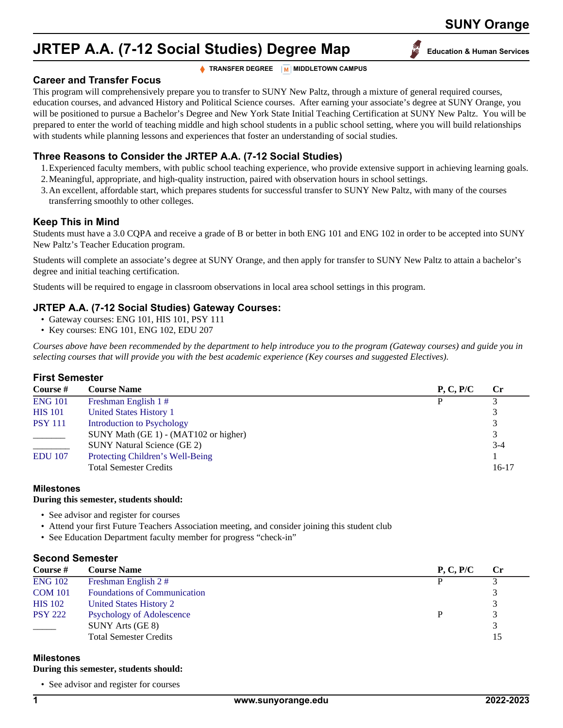# **SUNY Orange**

# **JRTEP A.A. (7-12 Social Studies) Degree Map** Education & Human Services

**TRANSFER DEGREE M** MIDDLETOWN CAMPUS

**Career and Transfer Focus**

This program will comprehensively prepare you to transfer to SUNY New Paltz, through a mixture of general required courses, education courses, and advanced History and Political Science courses. After earning your associate's degree at SUNY Orange, you will be positioned to pursue a Bachelor's Degree and New York State Initial Teaching Certification at SUNY New Paltz. You will be prepared to enter the world of teaching middle and high school students in a public school setting, where you will build relationships with students while planning lessons and experiences that foster an understanding of social studies.

# **Three Reasons to Consider the JRTEP A.A. (7-12 Social Studies)**

- 1.Experienced faculty members, with public school teaching experience, who provide extensive support in achieving learning goals.
- 2.Meaningful, appropriate, and high-quality instruction, paired with observation hours in school settings.
- 3.An excellent, affordable start, which prepares students for successful transfer to SUNY New Paltz, with many of the courses transferring smoothly to other colleges.

# **Keep This in Mind**

Students must have a 3.0 CQPA and receive a grade of B or better in both ENG 101 and ENG 102 in order to be accepted into SUNY New Paltz's Teacher Education program.

Students will complete an associate's degree at SUNY Orange, and then apply for transfer to SUNY New Paltz to attain a bachelor's degree and initial teaching certification.

Students will be required to engage in classroom observations in local area school settings in this program.

# **JRTEP A.A. (7-12 Social Studies) Gateway Courses:**

- Gateway courses: ENG 101, HIS 101, PSY 111
- Key courses: ENG 101, ENG 102, EDU 207

*Courses above have been recommended by the department to help introduce you to the program (Gateway courses) and guide you in selecting courses that will provide you with the best academic experience (Key courses and suggested Electives).*

# **First Semester**

| Course #       | <b>Course Name</b>                    | P, C, P/C | <b>Cr</b> |
|----------------|---------------------------------------|-----------|-----------|
| <b>ENG 101</b> | Freshman English 1#                   |           |           |
| <b>HIS</b> 101 | United States History 1               |           |           |
| <b>PSY 111</b> | Introduction to Psychology            |           |           |
|                | SUNY Math (GE 1) - (MAT102 or higher) |           | 3         |
|                | <b>SUNY Natural Science (GE 2)</b>    |           | $3 - 4$   |
| <b>EDU</b> 107 | Protecting Children's Well-Being      |           |           |
|                | <b>Total Semester Credits</b>         |           | 16-17     |

# **Milestones**

# **During this semester, students should:**

- See advisor and register for courses
- Attend your first Future Teachers Association meeting, and consider joining this student club
- See Education Department faculty member for progress "check-in"

# **Second Semester**

| Course #       | <b>Course Name</b>                  | P, C, P/C | <b>Cr</b> |
|----------------|-------------------------------------|-----------|-----------|
| <b>ENG 102</b> | Freshman English 2#                 |           |           |
| <b>COM 101</b> | <b>Foundations of Communication</b> |           |           |
| <b>HIS</b> 102 | United States History 2             |           | 3         |
| <b>PSY 222</b> | <b>Psychology of Adolescence</b>    |           | 3         |
|                | SUNY Arts (GE 8)                    |           |           |
|                | <b>Total Semester Credits</b>       |           | 15        |

# **Milestones**

#### **During this semester, students should:**

• See advisor and register for courses